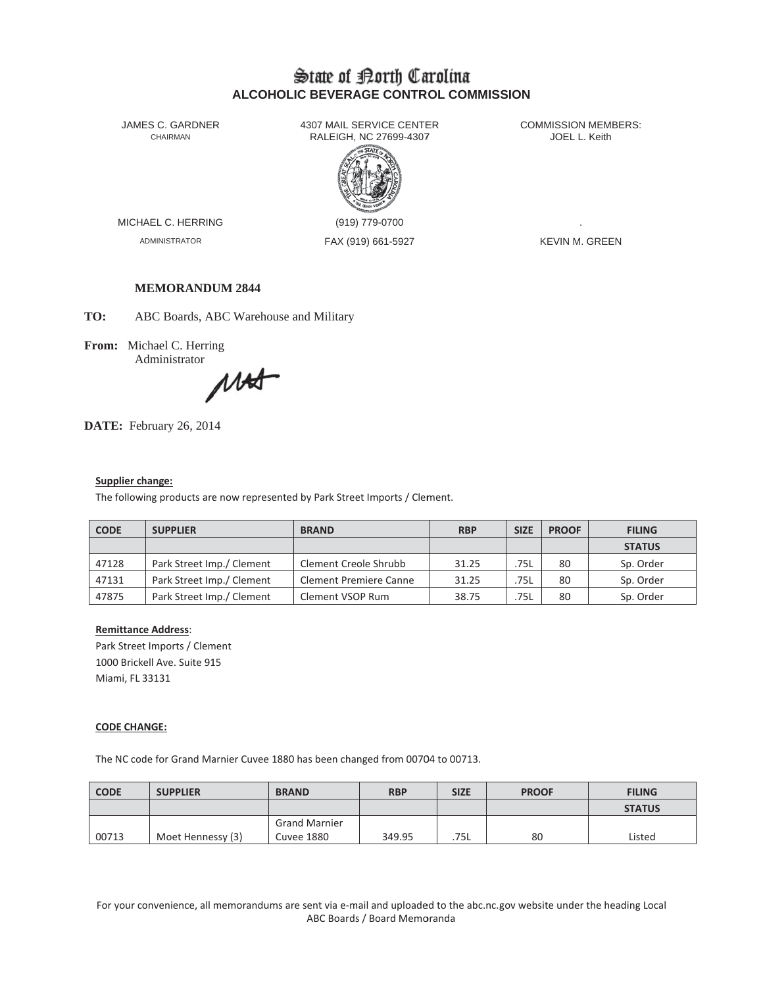# State of Borth Carolina **ALCOHOLIC BEVERAGE CONTROL COMMISSION**

JAMES C. GARDNER CHAIRMAN

4307 MAIL SERVICE CENTER RALEIGH, NC 27699-4307



MICHAEL C. HERRING

**ADMINISTRATOR** 

(919) 779-0700 FAX (919) 661-5927 **COMMISSION MEMBERS:** JOEL L. Keith

**KEVIN M. GREEN** 

# **MEMORANDUM 2844**

TO: ABC Boards, ABC Warehouse and Military

From: Michael C. Herring Administrator

Mat

DATE: February 26, 2014

#### Supplier change:

The following products are now represented by Park Street Imports / Clement.

| <b>CODE</b> | <b>SUPPLIER</b>           | <b>BRAND</b>                  | <b>RBP</b> | <b>SIZE</b> | <b>PROOF</b> | <b>FILING</b> |
|-------------|---------------------------|-------------------------------|------------|-------------|--------------|---------------|
|             |                           |                               |            |             |              | <b>STATUS</b> |
| 47128       | Park Street Imp./ Clement | Clement Creole Shrubb         | 31.25      | 75L         | 80           | Sp. Order     |
| 47131       | Park Street Imp./ Clement | <b>Clement Premiere Canne</b> | 31.25      | 75L         | 80           | Sp. Order     |
| 47875       | Park Street Imp./ Clement | Clement VSOP Rum              | 38.75      | 75L         | 80           | Sp. Order     |

# **Remittance Address:**

Park Street Imports / Clement 1000 Brickell Ave. Suite 915 Miami, FL 33131

### **CODE CHANGE:**

The NC code for Grand Marnier Cuvee 1880 has been changed from 00704 to 00713.

| <b>CODE</b> | <b>SUPPLIER</b>   | <b>BRAND</b>         | <b>RBP</b> | <b>SIZE</b> | <b>PROOF</b> | <b>FILING</b> |
|-------------|-------------------|----------------------|------------|-------------|--------------|---------------|
|             |                   |                      |            |             |              | <b>STATUS</b> |
|             |                   | <b>Grand Marnier</b> |            |             |              |               |
| 00713       | Moet Hennessy (3) | <b>Cuvee 1880</b>    | 349.95     | .75L        | 80           | Listed        |

For your convenience, all memorandums are sent via e-mail and uploaded to the abc.nc.gov website under the heading Local ABC Boards / Board Memoranda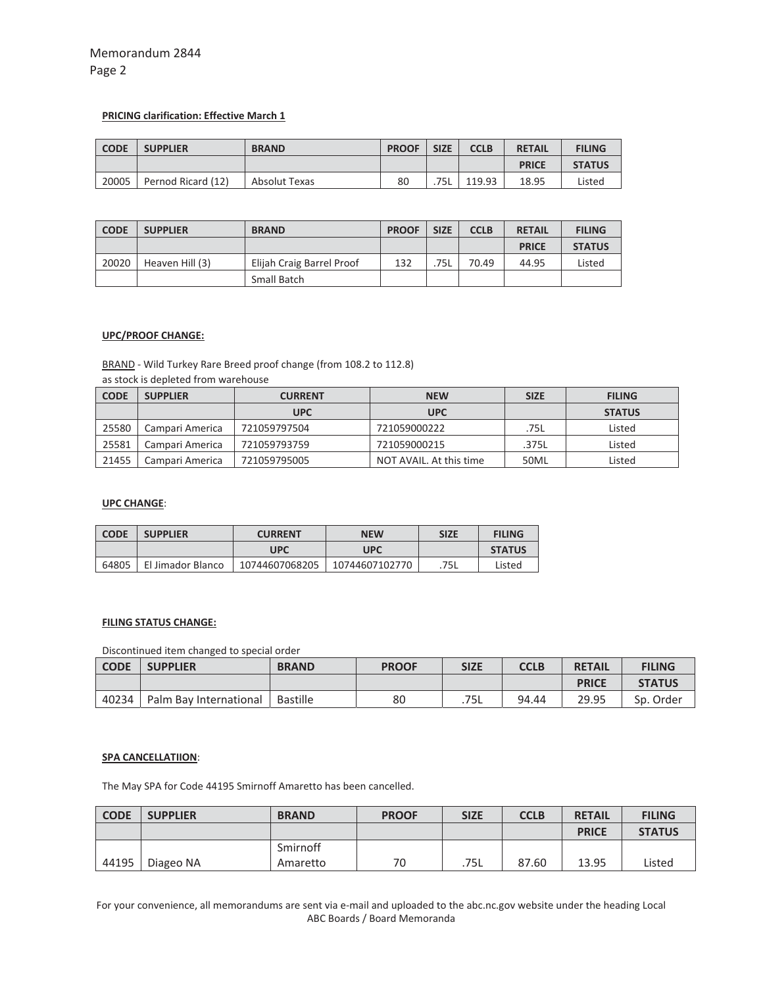# Memorandum 2844 Page 2

# **PRICING clarification: Effective March 1**

| <b>CODE</b> | <b>SUPPLIER</b>    | <b>BRAND</b>  | <b>PROOF</b> | <b>SIZE</b> | <b>CCLB</b> | <b>RETAIL</b> | <b>FILING</b> |
|-------------|--------------------|---------------|--------------|-------------|-------------|---------------|---------------|
|             |                    |               |              |             |             | <b>PRICE</b>  | <b>STATUS</b> |
| 20005       | Pernod Ricard (12) | Absolut Texas | 80           | 75L         | 119.93      | 18.95         | Listed        |

| <b>CODE</b> | <b>SUPPLIER</b> | <b>BRAND</b>              | <b>PROOF</b> | <b>SIZE</b> | <b>CCLB</b> | <b>RETAIL</b> | <b>FILING</b> |
|-------------|-----------------|---------------------------|--------------|-------------|-------------|---------------|---------------|
|             |                 |                           |              |             |             | <b>PRICE</b>  | <b>STATUS</b> |
| 20020       | Heaven Hill (3) | Elijah Craig Barrel Proof | 132          | .75L        | 70.49       | 44.95         | Listed        |
|             |                 | Small Batch               |              |             |             |               |               |

# **UPC/PROOF CHANGE:**

BRAND - Wild Turkey Rare Breed proof change (from 108.2 to 112.8)

|  |  |  |  |  | as stock is depleted from warehouse |
|--|--|--|--|--|-------------------------------------|
|--|--|--|--|--|-------------------------------------|

| <b>CODE</b> | <b>SUPPLIER</b> | <b>CURRENT</b> | <b>NEW</b>              | <b>SIZE</b> | <b>FILING</b> |
|-------------|-----------------|----------------|-------------------------|-------------|---------------|
|             |                 | <b>UPC</b>     | <b>UPC</b>              |             | <b>STATUS</b> |
| 25580       | Campari America | 721059797504   | 721059000222            | .75L        | Listed        |
| 25581       | Campari America | 721059793759   | 721059000215            | .375L       | Listed        |
| 21455       | Campari America | 721059795005   | NOT AVAIL. At this time | 50ML        | Listed        |

## **UPC CHANGE**:

| <b>CODE</b> | <b>SUPPLIER</b>   | <b>CURRENT</b> | <b>NEW</b>     | <b>SIZE</b> | <b>FILING</b> |
|-------------|-------------------|----------------|----------------|-------------|---------------|
|             |                   | UPC            | UPC            |             | <b>STATUS</b> |
| 64805       | El Jimador Blanco | 10744607068205 | 10744607102770 | .75L        | Listed        |

# **FILING STATUS CHANGE:**

Discontinued item changed to special order

| <b>CODE</b> | <b>SUPPLIER</b>        | <b>BRAND</b> | <b>PROOF</b> | <b>SIZE</b> | <b>CCLB</b> | <b>RETAIL</b> | <b>FILING</b> |
|-------------|------------------------|--------------|--------------|-------------|-------------|---------------|---------------|
|             |                        |              |              |             |             | <b>PRICE</b>  | <b>STATUS</b> |
| 40234       | Palm Bay International | Bastille     | 80           | .75L        | 94.44       | 29.95         | Sp. Order     |

# **SPA CANCELLATIION**:

The May SPA for Code 44195 Smirnoff Amaretto has been cancelled.

| <b>CODE</b> | <b>SUPPLIER</b> | <b>BRAND</b> | <b>PROOF</b> | <b>SIZE</b> | <b>CCLB</b> | <b>RETAIL</b> | <b>FILING</b> |
|-------------|-----------------|--------------|--------------|-------------|-------------|---------------|---------------|
|             |                 |              |              |             |             | <b>PRICE</b>  | <b>STATUS</b> |
|             |                 | Smirnoff     |              |             |             |               |               |
| 44195       | Diageo NA       | Amaretto     | 70           | .75L        | 87.60       | 13.95         | Listed        |

For your convenience, all memorandums are sent via e-mail and uploaded to the abc.nc.gov website under the heading Local ABC Boards / Board Memoranda